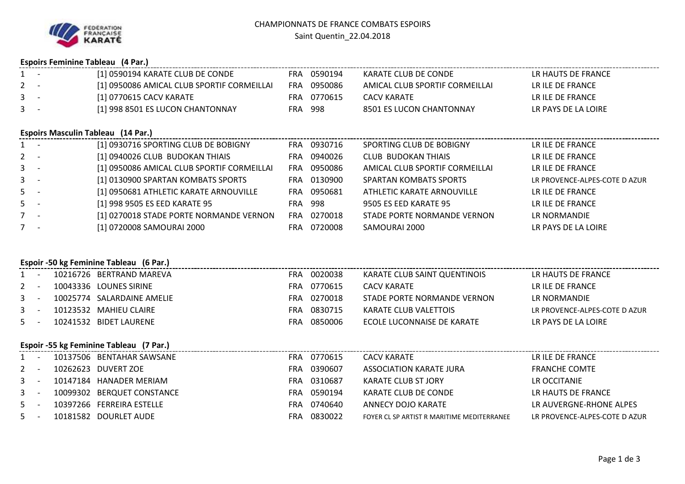|  | <b>Espoirs Feminine Tableau (4 Par.)</b> |  |  |
|--|------------------------------------------|--|--|
|--|------------------------------------------|--|--|

|                               |                                         | Espons remimine Tableau (4 rail)           |            |             |                                |                               |  |  |  |
|-------------------------------|-----------------------------------------|--------------------------------------------|------------|-------------|--------------------------------|-------------------------------|--|--|--|
| $1 -$                         |                                         | [1] 0590194 KARATE CLUB DE CONDE           |            | FRA 0590194 | KARATE CLUB DE CONDE           | LR HAUTS DE FRANCE            |  |  |  |
| $2 -$                         |                                         | [1] 0950086 AMICAL CLUB SPORTIF CORMEILLAI |            | FRA 0950086 | AMICAL CLUB SPORTIF CORMEILLAI | LR ILE DE FRANCE              |  |  |  |
| $3 - 1$                       |                                         | [1] 0770615 CACV KARATE                    |            | FRA 0770615 | <b>CACV KARATE</b>             | LR ILE DE FRANCE              |  |  |  |
| $3 - 5$                       |                                         | [1] 998 8501 ES LUCON CHANTONNAY           |            | FRA 998     | 8501 ES LUCON CHANTONNAY       | LR PAYS DE LA LOIRE           |  |  |  |
|                               |                                         | <b>Espoirs Masculin Tableau (14 Par.)</b>  |            |             |                                |                               |  |  |  |
| $1 -$                         |                                         | [1] 0930716 SPORTING CLUB DE BOBIGNY       |            | FRA 0930716 | SPORTING CLUB DE BOBIGNY       | LR ILE DE FRANCE              |  |  |  |
| $2 -$                         |                                         | [1] 0940026 CLUB BUDOKAN THIAIS            |            | FRA 0940026 | <b>CLUB BUDOKAN THIAIS</b>     | LR ILE DE FRANCE              |  |  |  |
| $3 - 1$                       |                                         | [1] 0950086 AMICAL CLUB SPORTIF CORMEILLAI |            | FRA 0950086 | AMICAL CLUB SPORTIF CORMEILLAI | LR ILE DE FRANCE              |  |  |  |
| $3 - 5$                       |                                         | [1] 0130900 SPARTAN KOMBATS SPORTS         |            | FRA 0130900 | <b>SPARTAN KOMBATS SPORTS</b>  | LR PROVENCE-ALPES-COTE D AZUR |  |  |  |
| $5 -$                         |                                         | [1] 0950681 ATHLETIC KARATE ARNOUVILLE     |            | FRA 0950681 | ATHLETIC KARATE ARNOUVILLE     | LR ILE DE FRANCE              |  |  |  |
| $5 -$                         |                                         | [1] 998 9505 ES EED KARATE 95              | <b>FRA</b> | 998         | 9505 ES EED KARATE 95          | LR ILE DE FRANCE              |  |  |  |
| $7 -$                         |                                         | [1] 0270018 STADE PORTE NORMANDE VERNON    | <b>FRA</b> | 0270018     | STADE PORTE NORMANDE VERNON    | LR NORMANDIE                  |  |  |  |
| $7 -$                         |                                         | [1] 0720008 SAMOURAI 2000                  |            | FRA 0720008 | SAMOURAI 2000                  | LR PAYS DE LA LOIRE           |  |  |  |
|                               | Espoir -50 kg Feminine Tableau (6 Par.) |                                            |            |             |                                |                               |  |  |  |
| $\sim$                        |                                         | 10216726 BERTRAND MAREVA                   |            | FRA 0020038 | KARATE CLUB SAINT QUENTINOIS   | LR HAUTS DE FRANCE            |  |  |  |
| 2<br>$\overline{\phantom{a}}$ |                                         | 10043336 LOUNES SIRINE                     | FRA        | 0770615     | <b>CACV KARATE</b>             | LR ILE DE FRANCE              |  |  |  |
| $\mathbf{3}$<br>$\sim$ $-$    |                                         | 10025774 SALARDAINE AMELIE                 | FRA        | 0270018     | STADE PORTE NORMANDE VERNON    | LR NORMANDIE                  |  |  |  |
| $3 - 5$                       |                                         | 10123532 MAHIEU CLAIRE                     | <b>FRA</b> | 0830715     | <b>KARATE CLUB VALETTOIS</b>   | LR PROVENCE-ALPES-COTE D AZUR |  |  |  |
| $5 -$                         |                                         | 10241532 BIDET LAURENE                     | <b>FRA</b> | 0850006     | ECOLE LUCONNAISE DE KARATE     | LR PAYS DE LA LOIRE           |  |  |  |
|                               |                                         |                                            |            |             |                                |                               |  |  |  |
|                               | Espoir -55 kg Feminine Tableau (7 Par.) |                                            |            |             |                                |                               |  |  |  |

|         |  | 10137506 BENTAHAR SAWSANE  | FRA | 0770615 | <b>CACV KARATE</b>                         | LR ILE DE FRANCE              |
|---------|--|----------------------------|-----|---------|--------------------------------------------|-------------------------------|
| $2 -$   |  | 10262623 DUVERT ZOE        | FRA | 0390607 | ASSOCIATION KARATE JURA                    | <b>FRANCHE COMTE</b>          |
| $3 - 5$ |  | 10147184 HANADER MERIAM    | FRA | 0310687 | KARATE CLUB ST JORY                        | LR OCCITANIE                  |
| $3 - 1$ |  | 10099302 BERQUET CONSTANCE | FRA | 0590194 | KARATE CLUB DE CONDE                       | LR HAUTS DE FRANCE            |
| $5 -$   |  | 10397266 FERREIRA ESTELLE  | FRA | 0740640 | ANNECY DOJO KARATE                         | LR AUVERGNE-RHONE ALPES       |
| $5 -$   |  | 10181582 DOURLET AUDE      | FRA | 0830022 | FOYER CL SP ARTIST R MARITIME MEDITERRANEE | LR PROVENCE-ALPES-COTE D AZUR |
|         |  |                            |     |         |                                            |                               |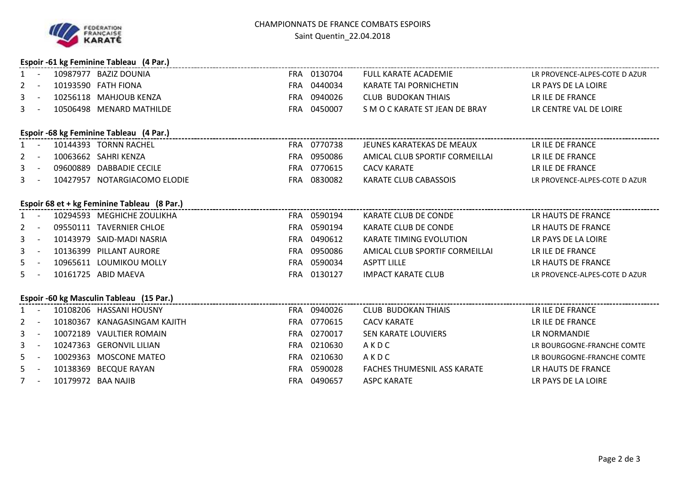

|              | Espoir -61 kg Feminine Tableau (4 Par.) |          |                                             |            |             |                                    |                               |  |  |
|--------------|-----------------------------------------|----------|---------------------------------------------|------------|-------------|------------------------------------|-------------------------------|--|--|
| $1 -$        |                                         |          | 10987977 BAZIZ DOUNIA                       |            | FRA 0130704 | <b>FULL KARATE ACADEMIE</b>        | LR PROVENCE-ALPES-COTE D AZUR |  |  |
| $\mathbf{2}$ | $\overline{\phantom{a}}$                |          | 10193590 FATH FIONA                         |            | FRA 0440034 | KARATE TAI PORNICHETIN             | LR PAYS DE LA LOIRE           |  |  |
| 3            | $\sim$                                  |          | 10256118 MAHJOUB KENZA                      |            | FRA 0940026 | <b>CLUB BUDOKAN THIAIS</b>         | LR ILE DE FRANCE              |  |  |
| 3            | $\sim$                                  |          | 10506498 MENARD MATHILDE                    |            | FRA 0450007 | S M O C KARATE ST JEAN DE BRAY     | LR CENTRE VAL DE LOIRE        |  |  |
|              |                                         |          | Espoir -68 kg Feminine Tableau (4 Par.)     |            |             |                                    |                               |  |  |
| $1 -$        |                                         |          | 10144393 TORNN RACHEL                       |            | FRA 0770738 | JEUNES KARATEKAS DE MEAUX          | LR ILE DE FRANCE              |  |  |
| 2            | $\overline{a}$                          |          | 10063662 SAHRI KENZA                        |            | FRA 0950086 | AMICAL CLUB SPORTIF CORMEILLAI     | LR ILE DE FRANCE              |  |  |
| 3            | $\sim$                                  |          | 09600889 DABBADIE CECILE                    |            | FRA 0770615 | <b>CACV KARATE</b>                 | LR ILE DE FRANCE              |  |  |
| 3            | $\sim$                                  |          | 10427957 NOTARGIACOMO ELODIE                |            | FRA 0830082 | <b>KARATE CLUB CABASSOIS</b>       | LR PROVENCE-ALPES-COTE D AZUR |  |  |
|              |                                         |          | Espoir 68 et + kg Feminine Tableau (8 Par.) |            |             |                                    |                               |  |  |
| $1 -$        |                                         |          | 10294593 MEGHICHE ZOULIKHA                  |            | FRA 0590194 | KARATE CLUB DE CONDE               | LR HAUTS DE FRANCE            |  |  |
| 2            | $\overline{\phantom{a}}$                |          | 09550111 TAVERNIER CHLOE                    |            | FRA 0590194 | KARATE CLUB DE CONDE               | LR HAUTS DE FRANCE            |  |  |
| 3            | $\sim$                                  |          | 10143979 SAID-MADI NASRIA                   |            | FRA 0490612 | <b>KARATE TIMING EVOLUTION</b>     | LR PAYS DE LA LOIRE           |  |  |
| 3            | $\sim$                                  |          | 10136399 PILLANT AURORE                     |            | FRA 0950086 | AMICAL CLUB SPORTIF CORMEILLAI     | LR ILE DE FRANCE              |  |  |
| 5.           | $\overline{a}$                          |          | 10965611 LOUMIKOU MOLLY                     |            | FRA 0590034 | <b>ASPTT LILLE</b>                 | LR HAUTS DE FRANCE            |  |  |
| 5.           |                                         |          | 10161725 ABID MAEVA                         |            | FRA 0130127 | <b>IMPACT KARATE CLUB</b>          | LR PROVENCE-ALPES-COTE D AZUR |  |  |
|              |                                         |          | Espoir -60 kg Masculin Tableau (15 Par.)    |            |             |                                    |                               |  |  |
| $1 -$        |                                         |          | 10108206 HASSANI HOUSNY                     |            | FRA 0940026 | <b>CLUB BUDOKAN THIAIS</b>         | LR ILE DE FRANCE              |  |  |
| 2            | $\overline{\phantom{a}}$                |          | 10180367 KANAGASINGAM KAJITH                |            | FRA 0770615 | <b>CACV KARATE</b>                 | LR ILE DE FRANCE              |  |  |
| 3            | $\overline{\phantom{a}}$                |          | 10072189 VAULTIER ROMAIN                    |            | FRA 0270017 | SEN KARATE LOUVIERS                | LR NORMANDIE                  |  |  |
| 3            | $\sim$                                  |          | 10247363 GERONVIL LILIAN                    |            | FRA 0210630 | AKDC                               | LR BOURGOGNE-FRANCHE COMTE    |  |  |
| 5.           | $\sim$                                  |          | 10029363 MOSCONE MATEO                      |            | FRA 0210630 | AKDC                               | LR BOURGOGNE-FRANCHE COMTE    |  |  |
| 5.           | $\overline{a}$                          | 10138369 | <b>BECQUE RAYAN</b>                         | <b>FRA</b> | 0590028     | <b>FACHES THUMESNIL ASS KARATE</b> | LR HAUTS DE FRANCE            |  |  |
| $7 -$        |                                         |          | 10179972 BAA NAJIB                          |            | FRA 0490657 | <b>ASPC KARATE</b>                 | LR PAYS DE LA LOIRE           |  |  |
|              |                                         |          |                                             |            |             |                                    |                               |  |  |